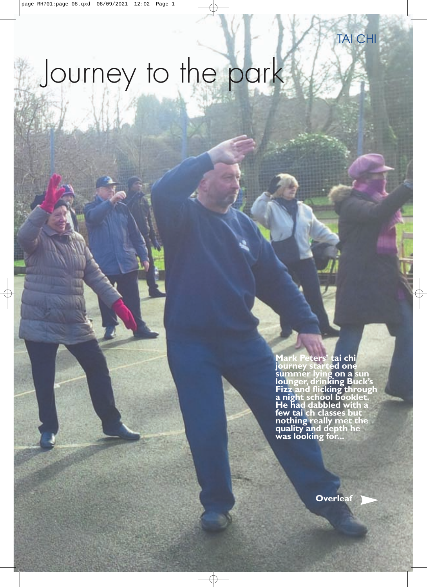# Journey to the park

**Mark Peters' tai chi journey started one summer lying on a sun lounger, drinking Buck's Fizz and flicking through a night school booklet. He had dabbled with a few tai ch classes but nothing really met the quality and depth he was looking for...**

**[Overleaf](#page-1-0)**